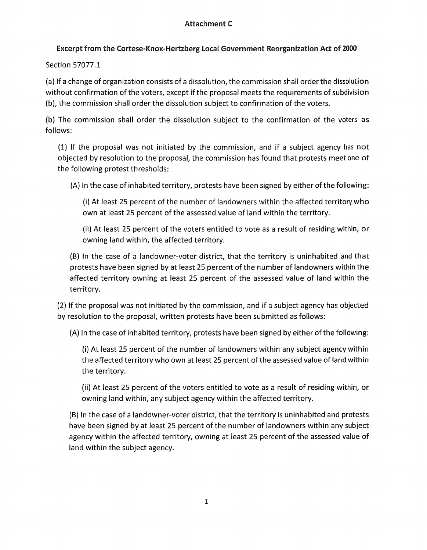## Excerpt from the Cortese-Knox-Hertzberg local Government Reorganization Act of 2000

Section 57077.1

(a) If a change of organization consists of a dissolution, the commission shall order the dissolution without confirmation of the voters, except if the proposal meets the requirements of subdivision (b), the commission shall order the dissolution subject to confirmation of the voters.

(b) The commission shall order the dissolution subject to the confirmation of the voters as follows:

(1) If the proposal was not initiated by the commission, and if a subject agency has not objected by resolution to the proposal, the commission has found that protests meet one of the following protest thresholds:

(A) In the case of inhabited territory, protests have been signed by either of the following:

(i) At least 25 percent of the number of landowners within the affected territory who own at least 25 percent of the assessed value of land within the territory.

(ii) At least 25 percent of the voters entitled to vote as a result of residing within, or owning land within, the affected territory.

(B) In the case of a landowner-voter district, that the territory is uninhabited and that protests have been signed by at least 25 percent of the number of landowners within the affected territory owning at least 25 percent of the assessed value of land within the territory.

(2) If the proposal was not initiated by the commission, and if a subject agency has objected by resolution to the proposal, written protests have been submitted as follows:

(A) In the case of inhabited territory, protests have been signed by either of the following:

(i) At least 25 percent of the number of landowners within any subject agency within the affected territory who own at least 25 percent of the assessed value of land within the territory.

(ii) At least 25 percent of the voters entitled to vote as a result of residing within, or owning land within, any subject agency within the affected territory.

(B) In the case of a landowner-voter district, that the territory is uninhabited and protests have been signed by at least 25 percent of the number of landowners within any subject agency within the affected territory, owning at least 25 percent of the assessed value of land within the subject agency.